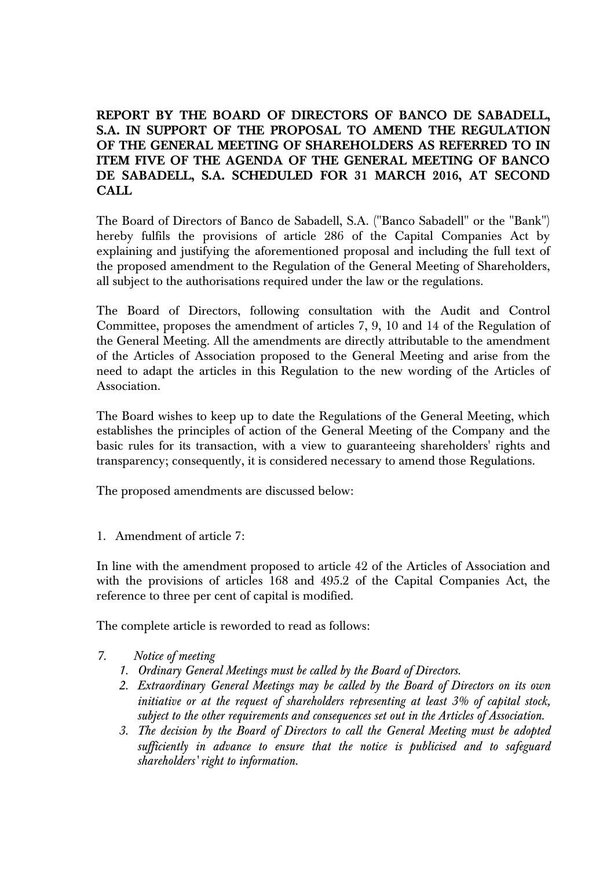**REPORT BY THE BOARD OF DIRECTORS OF BANCO DE SABADELL, S.A. IN SUPPORT OF THE PROPOSAL TO AMEND THE REGULATION OF THE GENERAL MEETING OF SHAREHOLDERS AS REFERRED TO IN ITEM FIVE OF THE AGENDA OF THE GENERAL MEETING OF BANCO DE SABADELL, S.A. SCHEDULED FOR 31 MARCH 2016, AT SECOND CALL** 

The Board of Directors of Banco de Sabadell, S.A. ("Banco Sabadell" or the "Bank") hereby fulfils the provisions of article 286 of the Capital Companies Act by explaining and justifying the aforementioned proposal and including the full text of the proposed amendment to the Regulation of the General Meeting of Shareholders, all subject to the authorisations required under the law or the regulations.

The Board of Directors, following consultation with the Audit and Control Committee, proposes the amendment of articles 7, 9, 10 and 14 of the Regulation of the General Meeting. All the amendments are directly attributable to the amendment of the Articles of Association proposed to the General Meeting and arise from the need to adapt the articles in this Regulation to the new wording of the Articles of Association.

The Board wishes to keep up to date the Regulations of the General Meeting, which establishes the principles of action of the General Meeting of the Company and the basic rules for its transaction, with a view to guaranteeing shareholders' rights and transparency; consequently, it is considered necessary to amend those Regulations.

The proposed amendments are discussed below:

1. Amendment of article 7:

In line with the amendment proposed to article 42 of the Articles of Association and with the provisions of articles 168 and 495.2 of the Capital Companies Act, the reference to three per cent of capital is modified.

The complete article is reworded to read as follows:

- *7. Notice of meeting* 
	- *1. Ordinary General Meetings must be called by the Board of Directors.*
	- *2. Extraordinary General Meetings may be called by the Board of Directors on its own initiative or at the request of shareholders representing at least 3% of capital stock, subject to the other requirements and consequences set out in the Articles of Association.*
	- *3. The decision by the Board of Directors to call the General Meeting must be adopted sufficiently in advance to ensure that the notice is publicised and to safeguard shareholders' right to information.*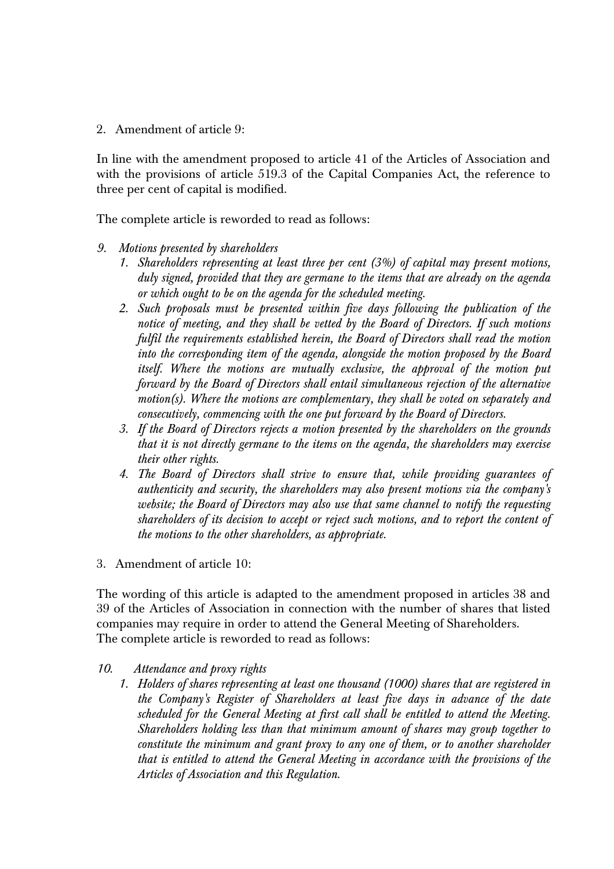2. Amendment of article 9:

In line with the amendment proposed to article 41 of the Articles of Association and with the provisions of article 519.3 of the Capital Companies Act, the reference to three per cent of capital is modified.

The complete article is reworded to read as follows:

- *9. Motions presented by shareholders* 
	- *1. Shareholders representing at least three per cent (3%) of capital may present motions, duly signed, provided that they are germane to the items that are already on the agenda or which ought to be on the agenda for the scheduled meeting.*
	- *2. Such proposals must be presented within five days following the publication of the notice of meeting, and they shall be vetted by the Board of Directors. If such motions fulfil the requirements established herein, the Board of Directors shall read the motion into the corresponding item of the agenda, alongside the motion proposed by the Board itself. Where the motions are mutually exclusive, the approval of the motion put forward by the Board of Directors shall entail simultaneous rejection of the alternative motion(s). Where the motions are complementary, they shall be voted on separately and consecutively, commencing with the one put forward by the Board of Directors.*
	- *3. If the Board of Directors rejects a motion presented by the shareholders on the grounds that it is not directly germane to the items on the agenda, the shareholders may exercise their other rights.*
	- *4. The Board of Directors shall strive to ensure that, while providing guarantees of authenticity and security, the shareholders may also present motions via the company's website; the Board of Directors may also use that same channel to notify the requesting shareholders of its decision to accept or reject such motions, and to report the content of the motions to the other shareholders, as appropriate.*
- 3. Amendment of article 10:

The wording of this article is adapted to the amendment proposed in articles 38 and 39 of the Articles of Association in connection with the number of shares that listed companies may require in order to attend the General Meeting of Shareholders. The complete article is reworded to read as follows:

- *10. Attendance and proxy rights* 
	- *1. Holders of shares representing at least one thousand (1000) shares that are registered in the Company's Register of Shareholders at least five days in advance of the date scheduled for the General Meeting at first call shall be entitled to attend the Meeting. Shareholders holding less than that minimum amount of shares may group together to constitute the minimum and grant proxy to any one of them, or to another shareholder that is entitled to attend the General Meeting in accordance with the provisions of the Articles of Association and this Regulation.*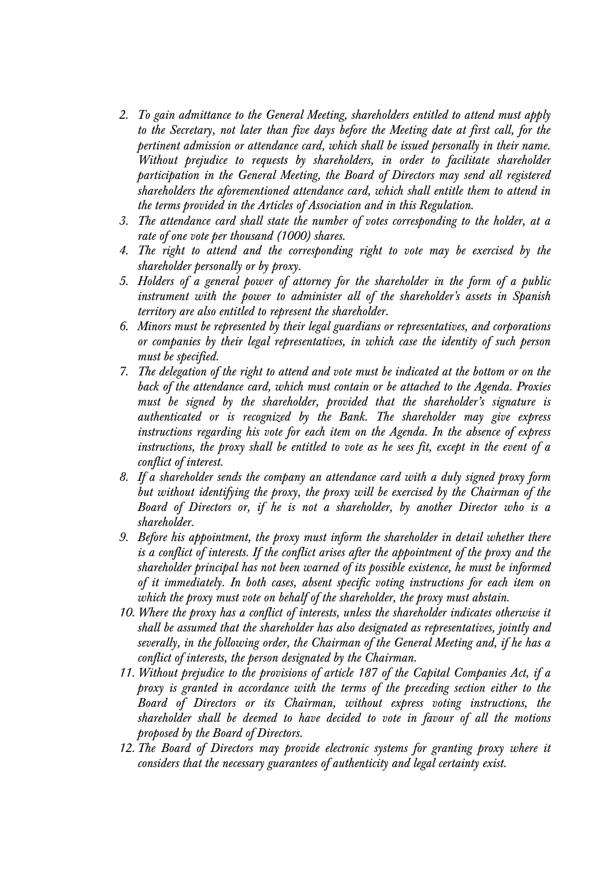- *2. To gain admittance to the General Meeting, shareholders entitled to attend must apply to the Secretary, not later than five days before the Meeting date at first call, for the pertinent admission or attendance card, which shall be issued personally in their name. Without prejudice to requests by shareholders, in order to facilitate shareholder participation in the General Meeting, the Board of Directors may send all registered shareholders the aforementioned attendance card, which shall entitle them to attend in the terms provided in the Articles of Association and in this Regulation.*
- *3. The attendance card shall state the number of votes corresponding to the holder, at a rate of one vote per thousand (1000) shares.*
- *4. The right to attend and the corresponding right to vote may be exercised by the shareholder personally or by proxy.*
- *5. Holders of a general power of attorney for the shareholder in the form of a public instrument with the power to administer all of the shareholder's assets in Spanish territory are also entitled to represent the shareholder.*
- *6. Minors must be represented by their legal guardians or representatives, and corporations or companies by their legal representatives, in which case the identity of such person must be specified.*
- *7. The delegation of the right to attend and vote must be indicated at the bottom or on the back of the attendance card, which must contain or be attached to the Agenda. Proxies must be signed by the shareholder, provided that the shareholder's signature is authenticated or is recognized by the Bank. The shareholder may give express instructions regarding his vote for each item on the Agenda. In the absence of express instructions, the proxy shall be entitled to vote as he sees fit, except in the event of a conflict of interest.*
- *8. If a shareholder sends the company an attendance card with a duly signed proxy form but without identifying the proxy, the proxy will be exercised by the Chairman of the Board of Directors or, if he is not a shareholder, by another Director who is a shareholder.*
- *9. Before his appointment, the proxy must inform the shareholder in detail whether there is a conflict of interests. If the conflict arises after the appointment of the proxy and the shareholder principal has not been warned of its possible existence, he must be informed of it immediately. In both cases, absent specific voting instructions for each item on which the proxy must vote on behalf of the shareholder, the proxy must abstain.*
- *10. Where the proxy has a conflict of interests, unless the shareholder indicates otherwise it shall be assumed that the shareholder has also designated as representatives, jointly and severally, in the following order, the Chairman of the General Meeting and, if he has a conflict of interests, the person designated by the Chairman.*
- *11. Without prejudice to the provisions of article 187 of the Capital Companies Act, if a proxy is granted in accordance with the terms of the preceding section either to the Board of Directors or its Chairman, without express voting instructions, the shareholder shall be deemed to have decided to vote in favour of all the motions proposed by the Board of Directors.*
- *12. The Board of Directors may provide electronic systems for granting proxy where it considers that the necessary guarantees of authenticity and legal certainty exist.*